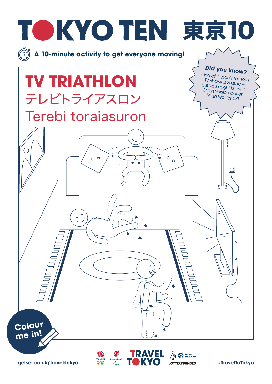

**getset.co.uk/travel-tokyo <b>Burness EXPO CONTERY FUNDED #TravelToTokyo**